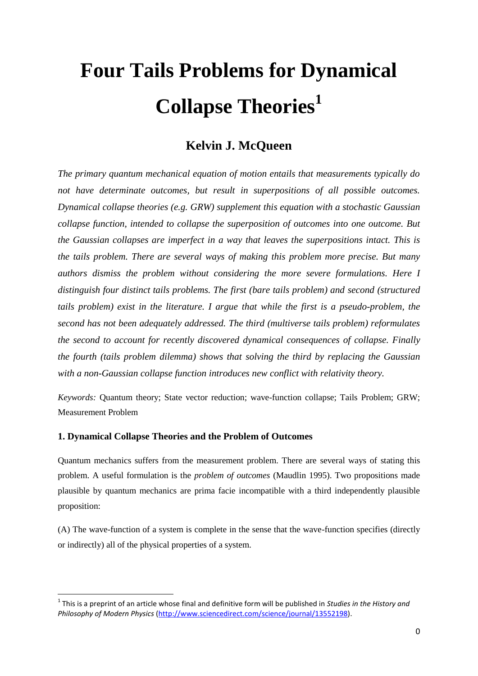# **Four Tails Problems for Dynamical Collapse Theories<sup>1</sup>**

# **Kelvin J. McQueen**

*The primary quantum mechanical equation of motion entails that measurements typically do not have determinate outcomes, but result in superpositions of all possible outcomes. Dynamical collapse theories (e.g. GRW) supplement this equation with a stochastic Gaussian collapse function, intended to collapse the superposition of outcomes into one outcome. But the Gaussian collapses are imperfect in a way that leaves the superpositions intact. This is the tails problem. There are several ways of making this problem more precise. But many authors dismiss the problem without considering the more severe formulations. Here I distinguish four distinct tails problems. The first (bare tails problem) and second (structured tails problem) exist in the literature. I argue that while the first is a pseudo-problem, the second has not been adequately addressed. The third (multiverse tails problem) reformulates the second to account for recently discovered dynamical consequences of collapse. Finally the fourth (tails problem dilemma) shows that solving the third by replacing the Gaussian with a non-Gaussian collapse function introduces new conflict with relativity theory.*

*Keywords:* Quantum theory; State vector reduction; wave-function collapse; Tails Problem; GRW; Measurement Problem

# **1. Dynamical Collapse Theories and the Problem of Outcomes**

1

Quantum mechanics suffers from the measurement problem. There are several ways of stating this problem. A useful formulation is the *problem of outcomes* (Maudlin 1995). Two propositions made plausible by quantum mechanics are prima facie incompatible with a third independently plausible proposition:

(A) The wave-function of a system is complete in the sense that the wave-function specifies (directly or indirectly) all of the physical properties of a system.

<sup>1</sup> This is a preprint of an article whose final and definitive form will be published in *Studies in the History and Philosophy of Modern Physics* [\(http://www.sciencedirect.com/science/journal/13552198\)](http://www.sciencedirect.com/science/journal/13552198).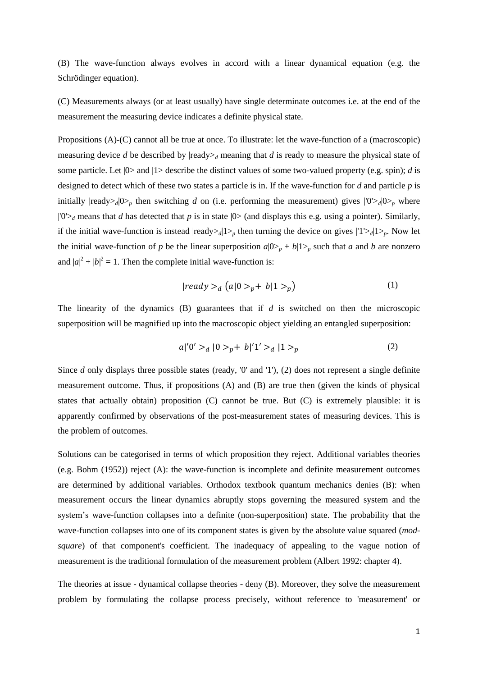(B) The wave-function always evolves in accord with a linear dynamical equation (e.g. the Schrödinger equation).

(C) Measurements always (or at least usually) have single determinate outcomes i.e. at the end of the measurement the measuring device indicates a definite physical state.

Propositions (A)-(C) cannot all be true at once. To illustrate: let the wave-function of a (macroscopic) measuring device *d* be described by  $|{\text{ready}}_d \rangle$  meaning that *d* is ready to measure the physical state of some particle. Let |0> and |1> describe the distinct values of some two-valued property (e.g. spin); *d* is designed to detect which of these two states a particle is in. If the wave-function for *d* and particle *p* is initially  $|{\text{ready>}}_d|0\rangle_p$  then switching *d* on (i.e. performing the measurement) gives  $|0\rangle_d|0\rangle_p$  where  $|0\rangle$ <sup> $d$ </sup> means that *d* has detected that *p* is in state  $|0\rangle$  (and displays this e.g. using a pointer). Similarly, if the initial wave-function is instead  $|{\text{ready}}_d|1\rangle_p$  then turning the device on gives  $|1\rangle_d|1\rangle_p$ . Now let the initial wave-function of *p* be the linear superposition  $a|0\rangle_p + b|1\rangle_p$  such that *a* and *b* are nonzero and  $|a|^2 + |b|^2 = 1$ . Then the complete initial wave-function is:

$$
|ready\rangle_d (a|0\rangle_p + b|1\rangle_p) \tag{1}
$$

The linearity of the dynamics (B) guarantees that if *d* is switched on then the microscopic superposition will be magnified up into the macroscopic object yielding an entangled superposition:

$$
a|'0' >_d |0 >_p + b'|1' >_d |1 >_p
$$
 (2)

Since *d* only displays three possible states (ready, '0' and '1'), (2) does not represent a single definite measurement outcome. Thus, if propositions (A) and (B) are true then (given the kinds of physical states that actually obtain) proposition (C) cannot be true. But (C) is extremely plausible: it is apparently confirmed by observations of the post-measurement states of measuring devices. This is the problem of outcomes.

Solutions can be categorised in terms of which proposition they reject. Additional variables theories (e.g. Bohm (1952)) reject (A): the wave-function is incomplete and definite measurement outcomes are determined by additional variables. Orthodox textbook quantum mechanics denies (B): when measurement occurs the linear dynamics abruptly stops governing the measured system and the system's wave-function collapses into a definite (non-superposition) state. The probability that the wave-function collapses into one of its component states is given by the absolute value squared (*modsquare*) of that component's coefficient. The inadequacy of appealing to the vague notion of measurement is the traditional formulation of the measurement problem (Albert 1992: chapter 4).

The theories at issue - dynamical collapse theories - deny (B). Moreover, they solve the measurement problem by formulating the collapse process precisely, without reference to 'measurement' or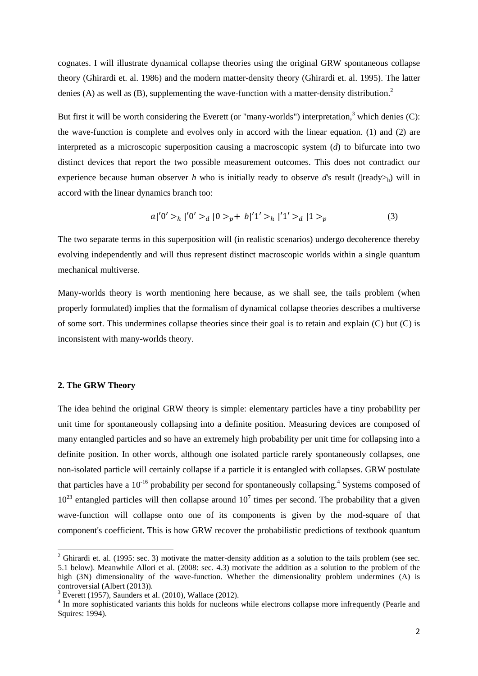cognates. I will illustrate dynamical collapse theories using the original GRW spontaneous collapse theory (Ghirardi et. al. 1986) and the modern matter-density theory (Ghirardi et. al. 1995). The latter denies (A) as well as (B), supplementing the wave-function with a matter-density distribution.<sup>2</sup>

But first it will be worth considering the Everett (or "many-worlds") interpretation, $3$  which denies (C): the wave-function is complete and evolves only in accord with the linear equation. (1) and (2) are interpreted as a microscopic superposition causing a macroscopic system (*d*) to bifurcate into two distinct devices that report the two possible measurement outcomes. This does not contradict our experience because human observer *h* who is initially ready to observe *d*'s result ( $|{\rm ready>}_h\rangle$ ) will in accord with the linear dynamics branch too:

$$
a|'0' >_h |'0' >_d |0 >_p + b'|1' >_h |'1' >_d |1 >_p
$$
 (3)

The two separate terms in this superposition will (in realistic scenarios) undergo decoherence thereby evolving independently and will thus represent distinct macroscopic worlds within a single quantum mechanical multiverse.

Many-worlds theory is worth mentioning here because, as we shall see, the tails problem (when properly formulated) implies that the formalism of dynamical collapse theories describes a multiverse of some sort. This undermines collapse theories since their goal is to retain and explain (C) but (C) is inconsistent with many-worlds theory.

### **2. The GRW Theory**

**.** 

The idea behind the original GRW theory is simple: elementary particles have a tiny probability per unit time for spontaneously collapsing into a definite position. Measuring devices are composed of many entangled particles and so have an extremely high probability per unit time for collapsing into a definite position. In other words, although one isolated particle rarely spontaneously collapses, one non-isolated particle will certainly collapse if a particle it is entangled with collapses. GRW postulate that particles have a  $10^{-16}$  probability per second for spontaneously collapsing.<sup>4</sup> Systems composed of  $10^{23}$  entangled particles will then collapse around  $10^{7}$  times per second. The probability that a given wave-function will collapse onto one of its components is given by the mod-square of that component's coefficient. This is how GRW recover the probabilistic predictions of textbook quantum

 $2$  Ghirardi et. al. (1995: sec. 3) motivate the matter-density addition as a solution to the tails problem (see sec. 5.1 below). Meanwhile Allori et al. (2008: sec. 4.3) motivate the addition as a solution to the problem of the high (3N) dimensionality of the wave-function. Whether the dimensionality problem undermines (A) is controversial (Albert (2013)).

 $3$  Everett (1957), Saunders et al. (2010), Wallace (2012).

<sup>&</sup>lt;sup>4</sup> In more sophisticated variants this holds for nucleons while electrons collapse more infrequently (Pearle and Squires: 1994).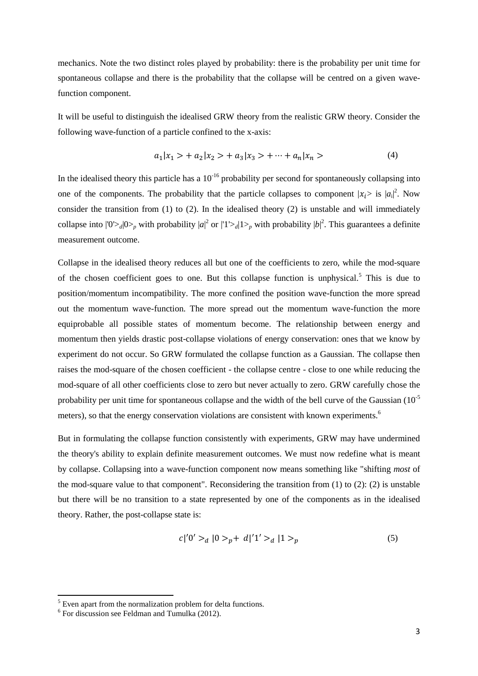mechanics. Note the two distinct roles played by probability: there is the probability per unit time for spontaneous collapse and there is the probability that the collapse will be centred on a given wavefunction component.

It will be useful to distinguish the idealised GRW theory from the realistic GRW theory. Consider the following wave-function of a particle confined to the x-axis:

$$
a_1|x_1\rangle + a_2|x_2\rangle + a_3|x_3\rangle + \dots + a_n|x_n\rangle \tag{4}
$$

In the idealised theory this particle has a  $10^{-16}$  probability per second for spontaneously collapsing into one of the components. The probability that the particle collapses to component  $|x_i\rangle$  is  $|a_i|^2$ . Now | consider the transition from (1) to (2). In the idealised theory (2) is unstable and will immediately collapse into  $|0\rangle_{d}|0\rangle_{p}$  with probability  $|a|^2$  or  $|1\rangle_{d}|1\rangle_{p}$  with probability  $|b|^2$ . This guarantees a definite measurement outcome.

Collapse in the idealised theory reduces all but one of the coefficients to zero, while the mod-square of the chosen coefficient goes to one. But this collapse function is unphysical.<sup>5</sup> This is due to position/momentum incompatibility. The more confined the position wave-function the more spread out the momentum wave-function. The more spread out the momentum wave-function the more equiprobable all possible states of momentum become. The relationship between energy and momentum then yields drastic post-collapse violations of energy conservation: ones that we know by experiment do not occur. So GRW formulated the collapse function as a Gaussian. The collapse then raises the mod-square of the chosen coefficient - the collapse centre - close to one while reducing the mod-square of all other coefficients close to zero but never actually to zero. GRW carefully chose the probability per unit time for spontaneous collapse and the width of the bell curve of the Gaussian  $(10^{-5}$ meters), so that the energy conservation violations are consistent with known experiments.<sup>6</sup>

But in formulating the collapse function consistently with experiments, GRW may have undermined the theory's ability to explain definite measurement outcomes. We must now redefine what is meant by collapse. Collapsing into a wave-function component now means something like "shifting *most* of the mod-square value to that component". Reconsidering the transition from  $(1)$  to  $(2)$ :  $(2)$  is unstable but there will be no transition to a state represented by one of the components as in the idealised theory. Rather, the post-collapse state is:

$$
c|'0' >_d |0 >_p + d'|1' >_d |1 >_p
$$
 (5)

 $<sup>5</sup>$  Even apart from the normalization problem for delta functions.</sup>

<sup>6</sup> For discussion see Feldman and Tumulka (2012).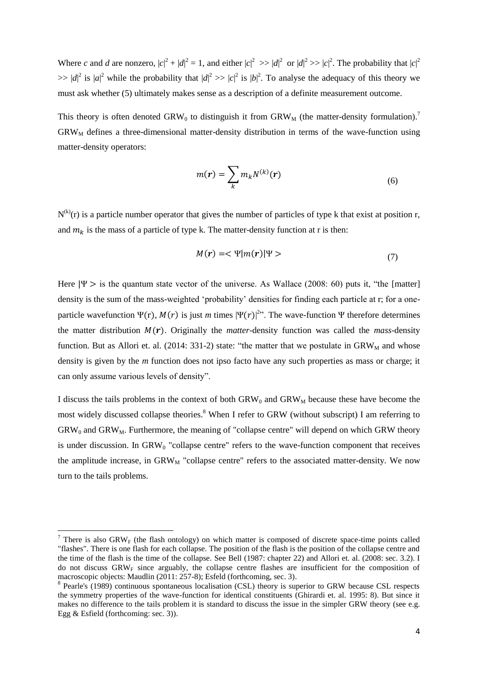Where *c* and *d* are nonzero,  $|c|^2 + |d|^2 = 1$ , and either  $|c|^2 \gg |d|^2$  or  $|d|^2 \gg |c|^2$ . The probability that  $|c|^2$  $\gg |d|^2$  is  $|a|^2$  while the probability that  $|d|^2 \gg |c|^2$  is  $|b|^2$ . To analyse the adequacy of this theory we must ask whether (5) ultimately makes sense as a description of a definite measurement outcome.

This theory is often denoted GRW<sub>0</sub> to distinguish it from GRW<sub>M</sub> (the matter-density formulation).<sup>7</sup>  $GRW<sub>M</sub>$  defines a three-dimensional matter-density distribution in terms of the wave-function using matter-density operators:

$$
m(\mathbf{r}) = \sum_{k} m_{k} N^{(k)}(\mathbf{r})
$$
\n(6)

 $N^{(k)}(r)$  is a particle number operator that gives the number of particles of type k that exist at position r, and  $m_k$  is the mass of a particle of type k. The matter-density function at r is then:

$$
M(r) = \langle \Psi | m(r) | \Psi \rangle \tag{7}
$$

Here  $|\Psi\rangle$  is the quantum state vector of the universe. As Wallace (2008: 60) puts it, "the [matter] density is the sum of the mass-weighted 'probability' densities for finding each particle at r; for a oneparticle wavefunction  $\Psi(r)$ ,  $M(r)$  is just *m* times  $|\Psi(r)|^{2}$ . The wave-function  $\Psi$  therefore determines the matter distribution  $M(r)$ . Originally the *matter*-density function was called the *mass*-density function. But as Allori et. al. (2014: 331-2) state: "the matter that we postulate in  $GRW<sub>M</sub>$  and whose density is given by the *m* function does not ipso facto have any such properties as mass or charge; it can only assume various levels of density".

I discuss the tails problems in the context of both  $GRW_0$  and  $GRW_M$  because these have become the most widely discussed collapse theories.<sup>8</sup> When I refer to GRW (without subscript) I am referring to  $GRW<sub>0</sub>$  and  $GRW<sub>M</sub>$ . Furthermore, the meaning of "collapse centre" will depend on which GRW theory is under discussion. In  $GRW<sub>0</sub>$  "collapse centre" refers to the wave-function component that receives the amplitude increase, in  $GRW<sub>M</sub>$  "collapse centre" refers to the associated matter-density. We now turn to the tails problems.

 $\overline{a}$ 

<sup>&</sup>lt;sup>7</sup> There is also GRW<sub>F</sub> (the flash ontology) on which matter is composed of discrete space-time points called "flashes". There is one flash for each collapse. The position of the flash is the position of the collapse centre and the time of the flash is the time of the collapse. See Bell (1987: chapter 22) and Allori et. al. (2008: sec. 3.2). I do not discuss  $GRW<sub>F</sub>$  since arguably, the collapse centre flashes are insufficient for the composition of macroscopic objects: Maudlin (2011: 257-8); Esfeld (forthcoming, sec. 3).

<sup>&</sup>lt;sup>8</sup> Pearle's (1989) continuous spontaneous localisation (CSL) theory is superior to GRW because CSL respects the symmetry properties of the wave-function for identical constituents (Ghirardi et. al. 1995: 8). But since it makes no difference to the tails problem it is standard to discuss the issue in the simpler GRW theory (see e.g. Egg & Esfield (forthcoming: sec. 3)).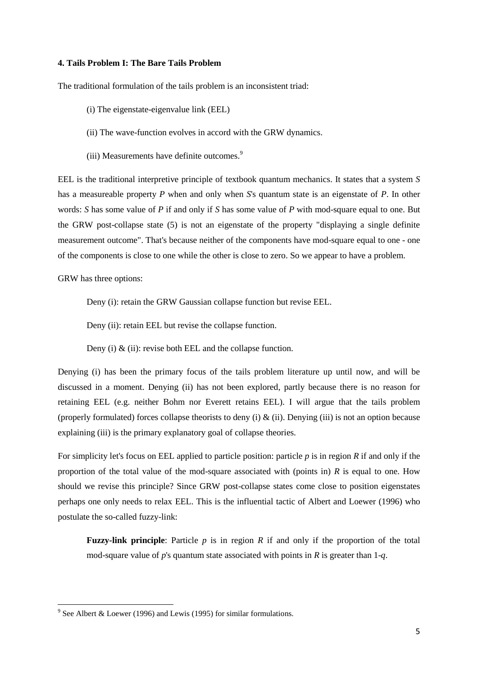# **4. Tails Problem I: The Bare Tails Problem**

The traditional formulation of the tails problem is an inconsistent triad:

- (i) The eigenstate-eigenvalue link (EEL)
- (ii) The wave-function evolves in accord with the GRW dynamics.
- (iii) Measurements have definite outcomes.<sup>9</sup>

EEL is the traditional interpretive principle of textbook quantum mechanics. It states that a system *S* has a measureable property *P* when and only when *S*'s quantum state is an eigenstate of *P*. In other words: *S* has some value of *P* if and only if *S* has some value of *P* with mod-square equal to one. But the GRW post-collapse state (5) is not an eigenstate of the property "displaying a single definite measurement outcome". That's because neither of the components have mod-square equal to one - one of the components is close to one while the other is close to zero. So we appear to have a problem.

GRW has three options:

Deny (i): retain the GRW Gaussian collapse function but revise EEL.

Deny (ii): retain EEL but revise the collapse function.

Deny (i)  $\&$  (ii): revise both EEL and the collapse function.

Denying (i) has been the primary focus of the tails problem literature up until now, and will be discussed in a moment. Denying (ii) has not been explored, partly because there is no reason for retaining EEL (e.g. neither Bohm nor Everett retains EEL). I will argue that the tails problem (properly formulated) forces collapse theorists to deny (i)  $\&$  (ii). Denying (iii) is not an option because explaining (iii) is the primary explanatory goal of collapse theories.

For simplicity let's focus on EEL applied to particle position: particle *p* is in region *R* if and only if the proportion of the total value of the mod-square associated with (points in) *R* is equal to one. How should we revise this principle? Since GRW post-collapse states come close to position eigenstates perhaps one only needs to relax EEL. This is the influential tactic of Albert and Loewer (1996) who postulate the so-called fuzzy-link:

**Fuzzy-link principle**: Particle *p* is in region *R* if and only if the proportion of the total mod-square value of *p*'s quantum state associated with points in *R* is greater than 1-*q*.

<sup>&</sup>lt;sup>9</sup> See Albert & Loewer (1996) and Lewis (1995) for similar formulations.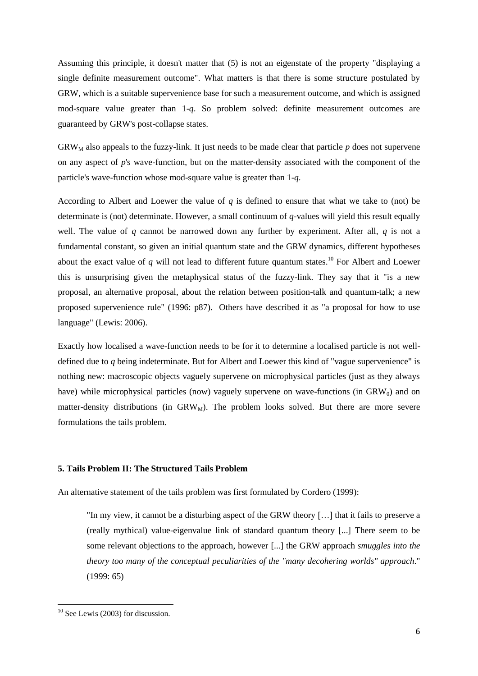Assuming this principle, it doesn't matter that (5) is not an eigenstate of the property "displaying a single definite measurement outcome". What matters is that there is some structure postulated by GRW, which is a suitable supervenience base for such a measurement outcome, and which is assigned mod-square value greater than 1-*q*. So problem solved: definite measurement outcomes are guaranteed by GRW's post-collapse states.

 $GRW<sub>M</sub>$  also appeals to the fuzzy-link. It just needs to be made clear that particle  $p$  does not supervene on any aspect of *p*'s wave-function, but on the matter-density associated with the component of the particle's wave-function whose mod-square value is greater than 1-*q*.

According to Albert and Loewer the value of *q* is defined to ensure that what we take to (not) be determinate is (not) determinate. However, a small continuum of *q*-values will yield this result equally well. The value of *q* cannot be narrowed down any further by experiment. After all, *q* is not a fundamental constant, so given an initial quantum state and the GRW dynamics, different hypotheses about the exact value of  $q$  will not lead to different future quantum states.<sup>10</sup> For Albert and Loewer this is unsurprising given the metaphysical status of the fuzzy-link. They say that it "is a new proposal, an alternative proposal, about the relation between position-talk and quantum-talk; a new proposed supervenience rule" (1996: p87). Others have described it as "a proposal for how to use language" (Lewis: 2006).

Exactly how localised a wave-function needs to be for it to determine a localised particle is not welldefined due to *q* being indeterminate. But for Albert and Loewer this kind of "vague supervenience" is nothing new: macroscopic objects vaguely supervene on microphysical particles (just as they always have) while microphysical particles (now) vaguely supervene on wave-functions (in  $GRW<sub>0</sub>$ ) and on matter-density distributions (in  $GRW_M$ ). The problem looks solved. But there are more severe formulations the tails problem.

# **5. Tails Problem II: The Structured Tails Problem**

An alternative statement of the tails problem was first formulated by Cordero (1999):

"In my view, it cannot be a disturbing aspect of the GRW theory […] that it fails to preserve a (really mythical) value-eigenvalue link of standard quantum theory [...] There seem to be some relevant objections to the approach, however [...] the GRW approach *smuggles into the theory too many of the conceptual peculiarities of the "many decohering worlds" approach*." (1999: 65)

 $10$  See Lewis (2003) for discussion.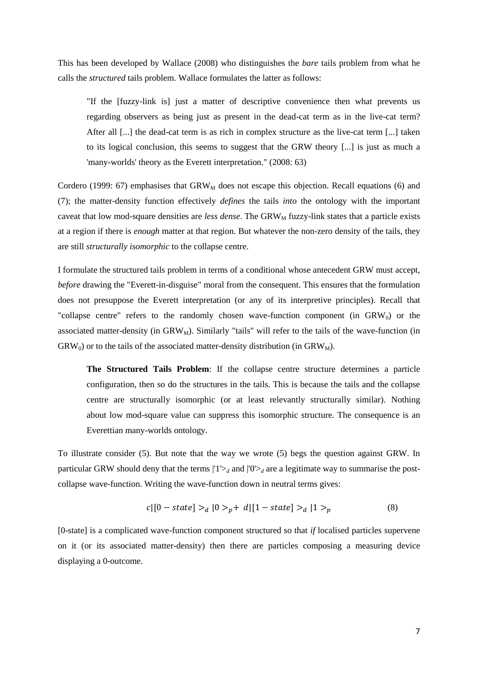This has been developed by Wallace (2008) who distinguishes the *bare* tails problem from what he calls the *structured* tails problem. Wallace formulates the latter as follows:

"If the [fuzzy-link is] just a matter of descriptive convenience then what prevents us regarding observers as being just as present in the dead-cat term as in the live-cat term? After all [...] the dead-cat term is as rich in complex structure as the live-cat term [...] taken to its logical conclusion, this seems to suggest that the GRW theory [...] is just as much a 'many-worlds' theory as the Everett interpretation." (2008: 63)

Cordero (1999: 67) emphasises that  $GRW_M$  does not escape this objection. Recall equations (6) and (7); the matter-density function effectively *defines* the tails *into* the ontology with the important caveat that low mod-square densities are *less dense*. The GRW<sub>M</sub> fuzzy-link states that a particle exists at a region if there is *enough* matter at that region. But whatever the non-zero density of the tails, they are still *structurally isomorphic* to the collapse centre.

I formulate the structured tails problem in terms of a conditional whose antecedent GRW must accept, *before* drawing the "Everett-in-disguise" moral from the consequent. This ensures that the formulation does not presuppose the Everett interpretation (or any of its interpretive principles). Recall that "collapse centre" refers to the randomly chosen wave-function component (in  $GRW<sub>0</sub>$ ) or the associated matter-density (in  $GRW_M$ ). Similarly "tails" will refer to the tails of the wave-function (in  $GRW_0$ ) or to the tails of the associated matter-density distribution (in  $GRW_M$ ).

**The Structured Tails Problem**: If the collapse centre structure determines a particle configuration, then so do the structures in the tails. This is because the tails and the collapse centre are structurally isomorphic (or at least relevantly structurally similar). Nothing about low mod-square value can suppress this isomorphic structure. The consequence is an Everettian many-worlds ontology.

To illustrate consider (5). But note that the way we wrote (5) begs the question against GRW. In particular GRW should deny that the terms  $|1\rangle_d$  and  $|0\rangle_d$  are a legitimate way to summarise the postcollapse wave-function. Writing the wave-function down in neutral terms gives:

$$
c|[0 - state] >_d |0 >_p + d|[1 - state] >_d |1 >_p
$$
\n(8)

[0-state] is a complicated wave-function component structured so that *if* localised particles supervene on it (or its associated matter-density) then there are particles composing a measuring device displaying a 0-outcome.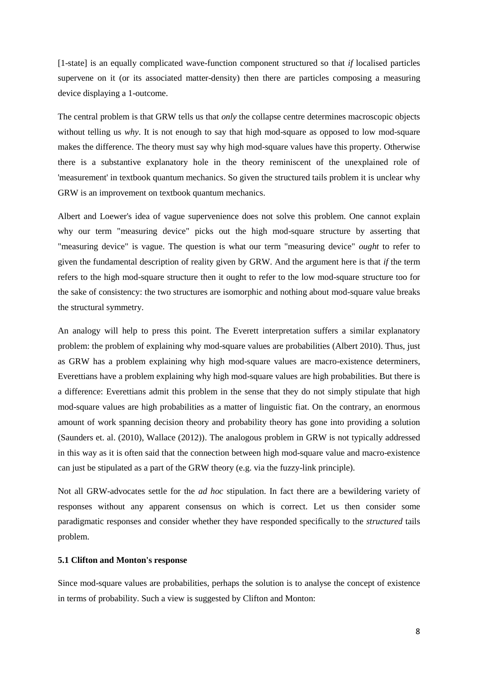[1-state] is an equally complicated wave-function component structured so that *if* localised particles supervene on it (or its associated matter-density) then there are particles composing a measuring device displaying a 1-outcome.

The central problem is that GRW tells us that *only* the collapse centre determines macroscopic objects without telling us *why*. It is not enough to say that high mod-square as opposed to low mod-square makes the difference. The theory must say why high mod-square values have this property. Otherwise there is a substantive explanatory hole in the theory reminiscent of the unexplained role of 'measurement' in textbook quantum mechanics. So given the structured tails problem it is unclear why GRW is an improvement on textbook quantum mechanics.

Albert and Loewer's idea of vague supervenience does not solve this problem. One cannot explain why our term "measuring device" picks out the high mod-square structure by asserting that "measuring device" is vague. The question is what our term "measuring device" *ought* to refer to given the fundamental description of reality given by GRW. And the argument here is that *if* the term refers to the high mod-square structure then it ought to refer to the low mod-square structure too for the sake of consistency: the two structures are isomorphic and nothing about mod-square value breaks the structural symmetry.

An analogy will help to press this point. The Everett interpretation suffers a similar explanatory problem: the problem of explaining why mod-square values are probabilities (Albert 2010). Thus, just as GRW has a problem explaining why high mod-square values are macro-existence determiners, Everettians have a problem explaining why high mod-square values are high probabilities. But there is a difference: Everettians admit this problem in the sense that they do not simply stipulate that high mod-square values are high probabilities as a matter of linguistic fiat. On the contrary, an enormous amount of work spanning decision theory and probability theory has gone into providing a solution (Saunders et. al. (2010), Wallace (2012)). The analogous problem in GRW is not typically addressed in this way as it is often said that the connection between high mod-square value and macro-existence can just be stipulated as a part of the GRW theory (e.g. via the fuzzy-link principle).

Not all GRW-advocates settle for the *ad hoc* stipulation. In fact there are a bewildering variety of responses without any apparent consensus on which is correct. Let us then consider some paradigmatic responses and consider whether they have responded specifically to the *structured* tails problem.

# **5.1 Clifton and Monton's response**

Since mod-square values are probabilities, perhaps the solution is to analyse the concept of existence in terms of probability. Such a view is suggested by Clifton and Monton: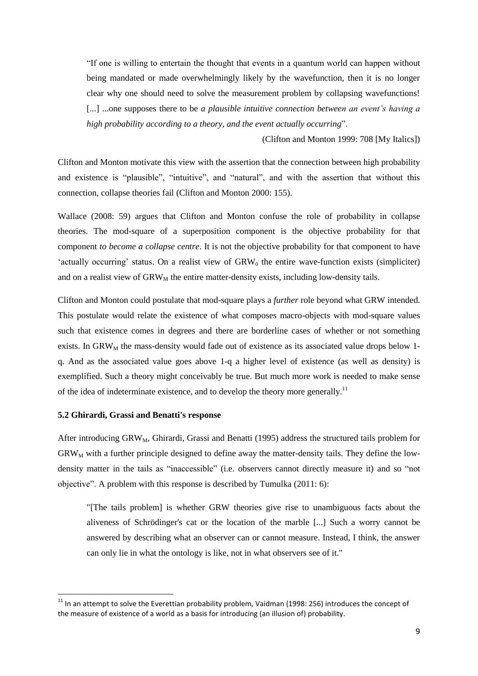"If one is willing to entertain the thought that events in a quantum world can happen without being mandated or made overwhelmingly likely by the wavefunction, then it is no longer clear why one should need to solve the measurement problem by collapsing wavefunctions! [...] ...one supposes there to be *a plausible intuitive connection between an event's having a high probability according to a theory, and the event actually occurring*".

(Clifton and Monton 1999: 708 [My Italics])

Clifton and Monton motivate this view with the assertion that the connection between high probability and existence is "plausible", "intuitive", and "natural", and with the assertion that without this connection, collapse theories fail (Clifton and Monton 2000: 155).

Wallace (2008: 59) argues that Clifton and Monton confuse the role of probability in collapse theories. The mod-square of a superposition component is the objective probability for that component *to become a collapse centre*. It is not the objective probability for that component to have 'actually occurring' status. On a realist view of  $GRW<sub>0</sub>$  the entire wave-function exists (simpliciter) and on a realist view of  $\text{GRW}_{\text{M}}$  the entire matter-density exists, including low-density tails.

Clifton and Monton could postulate that mod-square plays a *further* role beyond what GRW intended. This postulate would relate the existence of what composes macro-objects with mod-square values such that existence comes in degrees and there are borderline cases of whether or not something exists. In GRW<sub>M</sub> the mass-density would fade out of existence as its associated value drops below 1q. And as the associated value goes above 1-q a higher level of existence (as well as density) is exemplified. Such a theory might conceivably be true. But much more work is needed to make sense of the idea of indeterminate existence, and to develop the theory more generally.<sup>11</sup>

#### **5.2 Ghirardi, Grassi and Benatti's response**

1

After introducing  $GRW<sub>M</sub>$ , Ghirardi, Grassi and Benatti (1995) address the structured tails problem for  $GRW<sub>M</sub>$  with a further principle designed to define away the matter-density tails. They define the lowdensity matter in the tails as "inaccessible" (i.e. observers cannot directly measure it) and so "not objective". A problem with this response is described by Tumulka (2011: 6):

"[The tails problem] is whether GRW theories give rise to unambiguous facts about the aliveness of Schrödinger's cat or the location of the marble [...] Such a worry cannot be answered by describing what an observer can or cannot measure. Instead, I think, the answer can only lie in what the ontology is like, not in what observers see of it."

 $11$  In an attempt to solve the Everettian probability problem, Vaidman (1998: 256) introduces the concept of the measure of existence of a world as a basis for introducing (an illusion of) probability.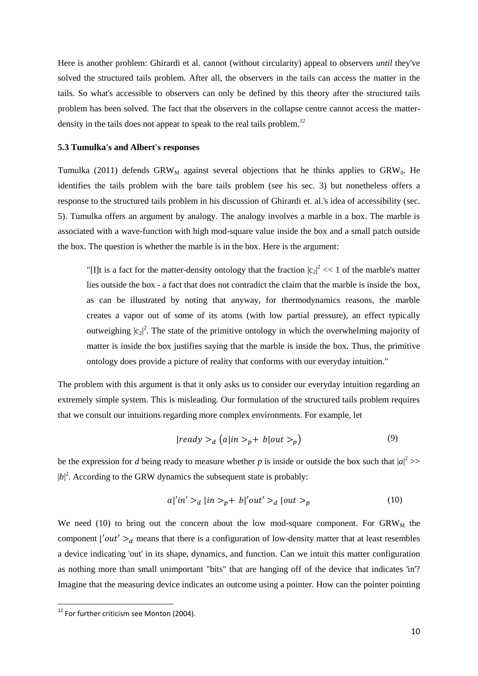Here is another problem: Ghirardi et al. cannot (without circularity) appeal to observers *until* they've solved the structured tails problem. After all, the observers in the tails can access the matter in the tails. So what's accessible to observers can only be defined by this theory after the structured tails problem has been solved. The fact that the observers in the collapse centre cannot access the matterdensity in the tails does not appear to speak to the real tails problem.<sup>12</sup>

# **5.3 Tumulka's and Albert's responses**

Tumulka (2011) defends  $GRW_M$  against several objections that he thinks applies to  $GRW_0$ . He identifies the tails problem with the bare tails problem (see his sec. 3) but nonetheless offers a response to the structured tails problem in his discussion of Ghirardi et. al.'s idea of accessibility (sec. 5). Tumulka offers an argument by analogy. The analogy involves a marble in a box. The marble is associated with a wave-function with high mod-square value inside the box and a small patch outside the box. The question is whether the marble is in the box. Here is the argument:

"[I]t is a fact for the matter-density ontology that the fraction  $|c_2|^2 \ll 1$  of the marble's matter lies outside the box - a fact that does not contradict the claim that the marble is inside the box, as can be illustrated by noting that anyway, for thermodynamics reasons, the marble creates a vapor out of some of its atoms (with low partial pressure), an effect typically outweighing  $|c_2|^2$ . The state of the primitive ontology in which the overwhelming majority of matter is inside the box justifies saying that the marble is inside the box. Thus, the primitive ontology does provide a picture of reality that conforms with our everyday intuition."

The problem with this argument is that it only asks us to consider our everyday intuition regarding an extremely simple system. This is misleading. Our formulation of the structured tails problem requires that we consult our intuitions regarding more complex environments. For example, let

$$
|ready >_d (a|in >_p + b|out >_p)
$$
\n<sup>(9)</sup>

be the expression for *d* being ready to measure whether *p* is inside or outside the box such that  $|a|^2$  >>  $|b|^2$ . According to the GRW dynamics the subsequent state is probably:

$$
a|'in' >_d |in >_p + b|'out' >_d |out >_p
$$
\n
$$
(10)
$$

We need (10) to bring out the concern about the low mod-square component. For  $GRW<sub>M</sub>$  the component  $\vert'out' \rangle_d$  means that there is a configuration of low-density matter that at least resembles a device indicating 'out' in its shape, dynamics, and function. Can we intuit this matter configuration as nothing more than small unimportant "bits" that are hanging off of the device that indicates 'in'? Imagine that the measuring device indicates an outcome using a pointer. How can the pointer pointing

<sup>&</sup>lt;sup>12</sup> For further criticism see Monton (2004).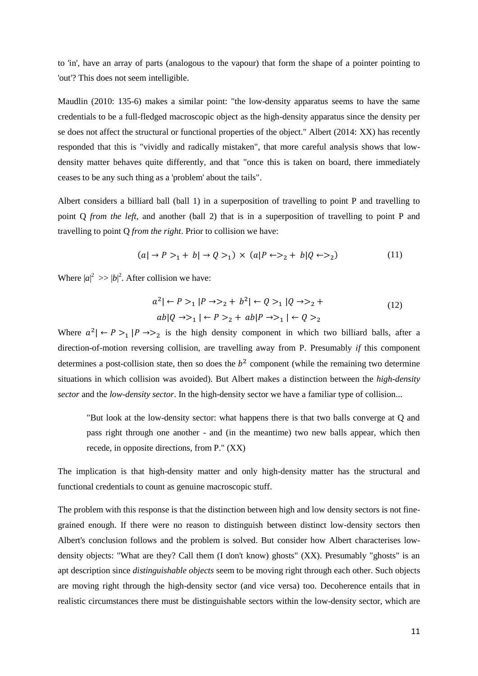to 'in', have an array of parts (analogous to the vapour) that form the shape of a pointer pointing to 'out'? This does not seem intelligible.

Maudlin (2010: 135-6) makes a similar point: "the low-density apparatus seems to have the same credentials to be a full-fledged macroscopic object as the high-density apparatus since the density per se does not affect the structural or functional properties of the object." Albert (2014: XX) has recently responded that this is "vividly and radically mistaken", that more careful analysis shows that lowdensity matter behaves quite differently, and that "once this is taken on board, there immediately ceases to be any such thing as a 'problem' about the tails".

Albert considers a billiard ball (ball 1) in a superposition of travelling to point P and travelling to point Q *from the left*, and another (ball 2) that is in a superposition of travelling to point P and travelling to point Q *from the right*. Prior to collision we have:

$$
(a \rvert \rightarrow P >_1 + b \rvert \rightarrow Q >_1) \times (a \rvert P \leftarrow >_2 + b \rvert Q \leftarrow >_2)
$$
 (11)

Where  $|a|^2$  >>  $|b|^2$ . After collision we have:

$$
a^{2} | \leftarrow P >_{1} | P \rightarrow P_{2} + b^{2} | \leftarrow Q >_{1} | Q \rightarrow P_{2} + ab | Q \rightarrow P_{1} | \leftarrow P >_{2} + ab | P \rightarrow P_{1} | \leftarrow Q >_{2}
$$
\n
$$
(12)
$$

Where  $a^2$   $\leftarrow$   $P >_1$   $\left| P \rightarrow >_2 \right|$  is the high density component in which two billiard balls, after a direction-of-motion reversing collision, are travelling away from P. Presumably *if* this component determines a post-collision state, then so does the  $b<sup>2</sup>$  component (while the remaining two determine situations in which collision was avoided). But Albert makes a distinction between the *high-density sector* and the *low-density sector*. In the high-density sector we have a familiar type of collision...

"But look at the low-density sector: what happens there is that two balls converge at Q and pass right through one another - and (in the meantime) two new balls appear, which then recede, in opposite directions, from P." (XX)

The implication is that high-density matter and only high-density matter has the structural and functional credentials to count as genuine macroscopic stuff.

The problem with this response is that the distinction between high and low density sectors is not finegrained enough. If there were no reason to distinguish between distinct low-density sectors then Albert's conclusion follows and the problem is solved. But consider how Albert characterises lowdensity objects: "What are they? Call them (I don't know) ghosts" (XX). Presumably "ghosts" is an apt description since *distinguishable objects* seem to be moving right through each other. Such objects are moving right through the high-density sector (and vice versa) too. Decoherence entails that in realistic circumstances there must be distinguishable sectors within the low-density sector, which are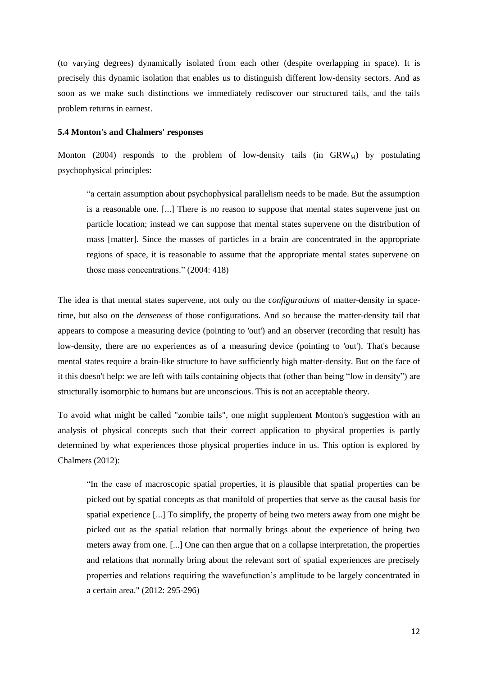(to varying degrees) dynamically isolated from each other (despite overlapping in space). It is precisely this dynamic isolation that enables us to distinguish different low-density sectors. And as soon as we make such distinctions we immediately rediscover our structured tails, and the tails problem returns in earnest.

# **5.4 Monton's and Chalmers' responses**

Monton (2004) responds to the problem of low-density tails (in  $GRW_M$ ) by postulating psychophysical principles:

"a certain assumption about psychophysical parallelism needs to be made. But the assumption is a reasonable one. [...] There is no reason to suppose that mental states supervene just on particle location; instead we can suppose that mental states supervene on the distribution of mass [matter]. Since the masses of particles in a brain are concentrated in the appropriate regions of space, it is reasonable to assume that the appropriate mental states supervene on those mass concentrations." (2004: 418)

The idea is that mental states supervene, not only on the *configurations* of matter-density in spacetime, but also on the *denseness* of those configurations. And so because the matter-density tail that appears to compose a measuring device (pointing to 'out') and an observer (recording that result) has low-density, there are no experiences as of a measuring device (pointing to 'out'). That's because mental states require a brain-like structure to have sufficiently high matter-density. But on the face of it this doesn't help: we are left with tails containing objects that (other than being "low in density") are structurally isomorphic to humans but are unconscious. This is not an acceptable theory.

To avoid what might be called "zombie tails", one might supplement Monton's suggestion with an analysis of physical concepts such that their correct application to physical properties is partly determined by what experiences those physical properties induce in us. This option is explored by Chalmers (2012):

"In the case of macroscopic spatial properties, it is plausible that spatial properties can be picked out by spatial concepts as that manifold of properties that serve as the causal basis for spatial experience [...] To simplify, the property of being two meters away from one might be picked out as the spatial relation that normally brings about the experience of being two meters away from one. [...] One can then argue that on a collapse interpretation, the properties and relations that normally bring about the relevant sort of spatial experiences are precisely properties and relations requiring the wavefunction's amplitude to be largely concentrated in a certain area." (2012: 295-296)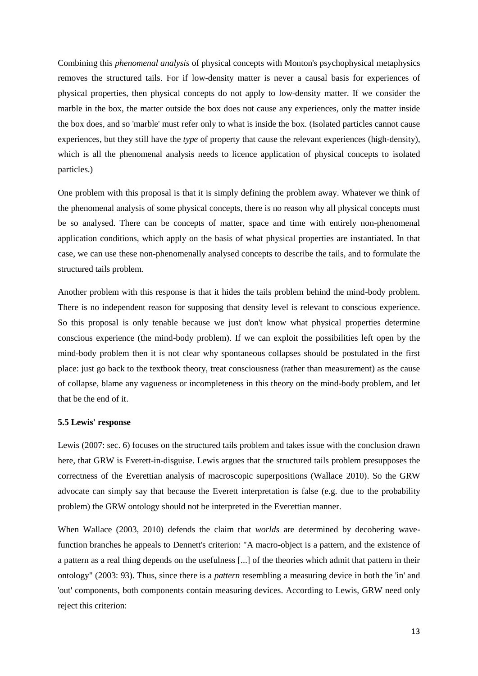Combining this *phenomenal analysis* of physical concepts with Monton's psychophysical metaphysics removes the structured tails. For if low-density matter is never a causal basis for experiences of physical properties, then physical concepts do not apply to low-density matter. If we consider the marble in the box, the matter outside the box does not cause any experiences, only the matter inside the box does, and so 'marble' must refer only to what is inside the box. (Isolated particles cannot cause experiences, but they still have the *type* of property that cause the relevant experiences (high-density), which is all the phenomenal analysis needs to licence application of physical concepts to isolated particles.)

One problem with this proposal is that it is simply defining the problem away. Whatever we think of the phenomenal analysis of some physical concepts, there is no reason why all physical concepts must be so analysed. There can be concepts of matter, space and time with entirely non-phenomenal application conditions, which apply on the basis of what physical properties are instantiated. In that case, we can use these non-phenomenally analysed concepts to describe the tails, and to formulate the structured tails problem.

Another problem with this response is that it hides the tails problem behind the mind-body problem. There is no independent reason for supposing that density level is relevant to conscious experience. So this proposal is only tenable because we just don't know what physical properties determine conscious experience (the mind-body problem). If we can exploit the possibilities left open by the mind-body problem then it is not clear why spontaneous collapses should be postulated in the first place: just go back to the textbook theory, treat consciousness (rather than measurement) as the cause of collapse, blame any vagueness or incompleteness in this theory on the mind-body problem, and let that be the end of it.

# **5.5 Lewis' response**

Lewis (2007: sec. 6) focuses on the structured tails problem and takes issue with the conclusion drawn here, that GRW is Everett-in-disguise. Lewis argues that the structured tails problem presupposes the correctness of the Everettian analysis of macroscopic superpositions (Wallace 2010). So the GRW advocate can simply say that because the Everett interpretation is false (e.g. due to the probability problem) the GRW ontology should not be interpreted in the Everettian manner.

When Wallace (2003, 2010) defends the claim that *worlds* are determined by decohering wavefunction branches he appeals to Dennett's criterion: "A macro-object is a pattern, and the existence of a pattern as a real thing depends on the usefulness [...] of the theories which admit that pattern in their ontology" (2003: 93). Thus, since there is a *pattern* resembling a measuring device in both the 'in' and 'out' components, both components contain measuring devices. According to Lewis, GRW need only reject this criterion: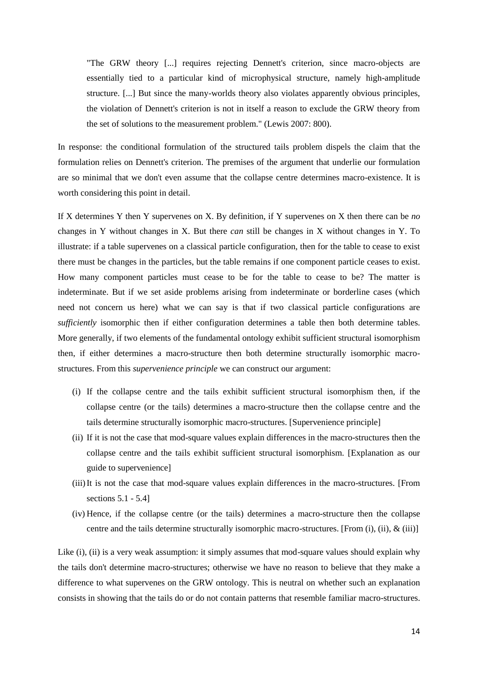"The GRW theory [...] requires rejecting Dennett's criterion, since macro-objects are essentially tied to a particular kind of microphysical structure, namely high-amplitude structure. [...] But since the many-worlds theory also violates apparently obvious principles, the violation of Dennett's criterion is not in itself a reason to exclude the GRW theory from the set of solutions to the measurement problem." (Lewis 2007: 800).

In response: the conditional formulation of the structured tails problem dispels the claim that the formulation relies on Dennett's criterion. The premises of the argument that underlie our formulation are so minimal that we don't even assume that the collapse centre determines macro-existence. It is worth considering this point in detail.

If X determines Y then Y supervenes on X. By definition, if Y supervenes on X then there can be *no* changes in Y without changes in X. But there *can* still be changes in X without changes in Y. To illustrate: if a table supervenes on a classical particle configuration, then for the table to cease to exist there must be changes in the particles, but the table remains if one component particle ceases to exist. How many component particles must cease to be for the table to cease to be? The matter is indeterminate. But if we set aside problems arising from indeterminate or borderline cases (which need not concern us here) what we can say is that if two classical particle configurations are *sufficiently* isomorphic then if either configuration determines a table then both determine tables. More generally, if two elements of the fundamental ontology exhibit sufficient structural isomorphism then, if either determines a macro-structure then both determine structurally isomorphic macrostructures. From this *supervenience principle* we can construct our argument:

- (i) If the collapse centre and the tails exhibit sufficient structural isomorphism then, if the collapse centre (or the tails) determines a macro-structure then the collapse centre and the tails determine structurally isomorphic macro-structures. [Supervenience principle]
- (ii) If it is not the case that mod-square values explain differences in the macro-structures then the collapse centre and the tails exhibit sufficient structural isomorphism. [Explanation as our guide to supervenience]
- (iii)It is not the case that mod-square values explain differences in the macro-structures. [From sections 5.1 - 5.4]
- (iv) Hence, if the collapse centre (or the tails) determines a macro-structure then the collapse centre and the tails determine structurally isomorphic macro-structures. [From (i), (ii),  $\&$  (iii)]

Like (i), (ii) is a very weak assumption: it simply assumes that mod-square values should explain why the tails don't determine macro-structures; otherwise we have no reason to believe that they make a difference to what supervenes on the GRW ontology. This is neutral on whether such an explanation consists in showing that the tails do or do not contain patterns that resemble familiar macro-structures.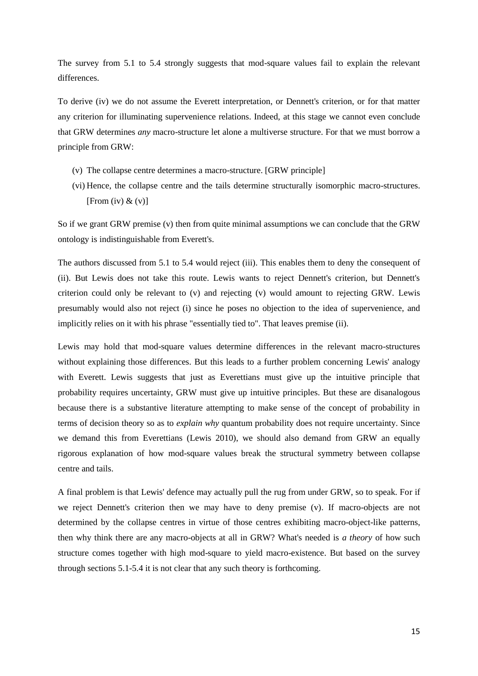The survey from 5.1 to 5.4 strongly suggests that mod-square values fail to explain the relevant differences.

To derive (iv) we do not assume the Everett interpretation, or Dennett's criterion, or for that matter any criterion for illuminating supervenience relations. Indeed, at this stage we cannot even conclude that GRW determines *any* macro-structure let alone a multiverse structure. For that we must borrow a principle from GRW:

- (v) The collapse centre determines a macro-structure. [GRW principle]
- (vi) Hence, the collapse centre and the tails determine structurally isomorphic macro-structures. [From (iv)  $\&$  (v)]

So if we grant GRW premise (v) then from quite minimal assumptions we can conclude that the GRW ontology is indistinguishable from Everett's.

The authors discussed from 5.1 to 5.4 would reject (iii). This enables them to deny the consequent of (ii). But Lewis does not take this route. Lewis wants to reject Dennett's criterion, but Dennett's criterion could only be relevant to (v) and rejecting (v) would amount to rejecting GRW. Lewis presumably would also not reject (i) since he poses no objection to the idea of supervenience, and implicitly relies on it with his phrase "essentially tied to". That leaves premise (ii).

Lewis may hold that mod-square values determine differences in the relevant macro-structures without explaining those differences. But this leads to a further problem concerning Lewis' analogy with Everett. Lewis suggests that just as Everettians must give up the intuitive principle that probability requires uncertainty, GRW must give up intuitive principles. But these are disanalogous because there is a substantive literature attempting to make sense of the concept of probability in terms of decision theory so as to *explain why* quantum probability does not require uncertainty. Since we demand this from Everettians (Lewis 2010), we should also demand from GRW an equally rigorous explanation of how mod-square values break the structural symmetry between collapse centre and tails.

A final problem is that Lewis' defence may actually pull the rug from under GRW, so to speak. For if we reject Dennett's criterion then we may have to deny premise (v). If macro-objects are not determined by the collapse centres in virtue of those centres exhibiting macro-object-like patterns, then why think there are any macro-objects at all in GRW? What's needed is *a theory* of how such structure comes together with high mod-square to yield macro-existence. But based on the survey through sections 5.1-5.4 it is not clear that any such theory is forthcoming.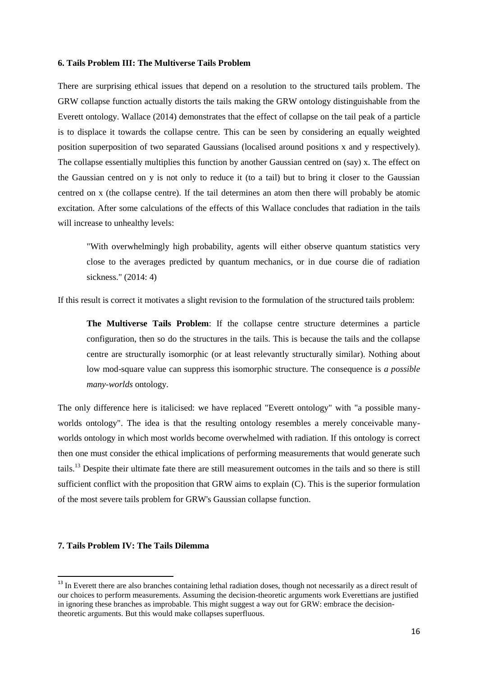#### **6. Tails Problem III: The Multiverse Tails Problem**

There are surprising ethical issues that depend on a resolution to the structured tails problem. The GRW collapse function actually distorts the tails making the GRW ontology distinguishable from the Everett ontology. Wallace (2014) demonstrates that the effect of collapse on the tail peak of a particle is to displace it towards the collapse centre. This can be seen by considering an equally weighted position superposition of two separated Gaussians (localised around positions x and y respectively). The collapse essentially multiplies this function by another Gaussian centred on (say) x. The effect on the Gaussian centred on y is not only to reduce it (to a tail) but to bring it closer to the Gaussian centred on x (the collapse centre). If the tail determines an atom then there will probably be atomic excitation. After some calculations of the effects of this Wallace concludes that radiation in the tails will increase to unhealthy levels:

"With overwhelmingly high probability, agents will either observe quantum statistics very close to the averages predicted by quantum mechanics, or in due course die of radiation sickness." (2014: 4)

If this result is correct it motivates a slight revision to the formulation of the structured tails problem:

**The Multiverse Tails Problem**: If the collapse centre structure determines a particle configuration, then so do the structures in the tails. This is because the tails and the collapse centre are structurally isomorphic (or at least relevantly structurally similar). Nothing about low mod-square value can suppress this isomorphic structure. The consequence is *a possible many-worlds* ontology.

The only difference here is italicised: we have replaced "Everett ontology" with "a possible manyworlds ontology". The idea is that the resulting ontology resembles a merely conceivable manyworlds ontology in which most worlds become overwhelmed with radiation. If this ontology is correct then one must consider the ethical implications of performing measurements that would generate such tails.<sup>13</sup> Despite their ultimate fate there are still measurement outcomes in the tails and so there is still sufficient conflict with the proposition that GRW aims to explain (C). This is the superior formulation of the most severe tails problem for GRW's Gaussian collapse function.

# **7. Tails Problem IV: The Tails Dilemma**

<sup>&</sup>lt;sup>13</sup> In Everett there are also branches containing lethal radiation doses, though not necessarily as a direct result of our choices to perform measurements. Assuming the decision-theoretic arguments work Everettians are justified in ignoring these branches as improbable. This might suggest a way out for GRW: embrace the decisiontheoretic arguments. But this would make collapses superfluous.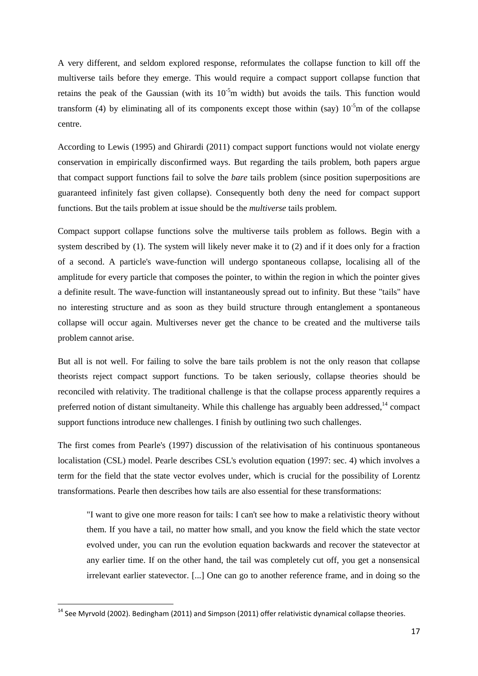A very different, and seldom explored response, reformulates the collapse function to kill off the multiverse tails before they emerge. This would require a compact support collapse function that retains the peak of the Gaussian (with its  $10^{-5}$ m width) but avoids the tails. This function would transform (4) by eliminating all of its components except those within (say)  $10^{-5}$ m of the collapse centre.

According to Lewis (1995) and Ghirardi (2011) compact support functions would not violate energy conservation in empirically disconfirmed ways. But regarding the tails problem, both papers argue that compact support functions fail to solve the *bare* tails problem (since position superpositions are guaranteed infinitely fast given collapse). Consequently both deny the need for compact support functions. But the tails problem at issue should be the *multiverse* tails problem.

Compact support collapse functions solve the multiverse tails problem as follows. Begin with a system described by (1). The system will likely never make it to (2) and if it does only for a fraction of a second. A particle's wave-function will undergo spontaneous collapse, localising all of the amplitude for every particle that composes the pointer, to within the region in which the pointer gives a definite result. The wave-function will instantaneously spread out to infinity. But these "tails" have no interesting structure and as soon as they build structure through entanglement a spontaneous collapse will occur again. Multiverses never get the chance to be created and the multiverse tails problem cannot arise.

But all is not well. For failing to solve the bare tails problem is not the only reason that collapse theorists reject compact support functions. To be taken seriously, collapse theories should be reconciled with relativity. The traditional challenge is that the collapse process apparently requires a preferred notion of distant simultaneity. While this challenge has arguably been addressed, $14$  compact support functions introduce new challenges. I finish by outlining two such challenges.

The first comes from Pearle's (1997) discussion of the relativisation of his continuous spontaneous localistation (CSL) model. Pearle describes CSL's evolution equation (1997: sec. 4) which involves a term for the field that the state vector evolves under, which is crucial for the possibility of Lorentz transformations. Pearle then describes how tails are also essential for these transformations:

"I want to give one more reason for tails: I can't see how to make a relativistic theory without them. If you have a tail, no matter how small, and you know the field which the state vector evolved under, you can run the evolution equation backwards and recover the statevector at any earlier time. If on the other hand, the tail was completely cut off, you get a nonsensical irrelevant earlier statevector. [...] One can go to another reference frame, and in doing so the

<sup>&</sup>lt;sup>14</sup> See Myrvold (2002). Bedingham (2011) and Simpson (2011) offer relativistic dynamical collapse theories.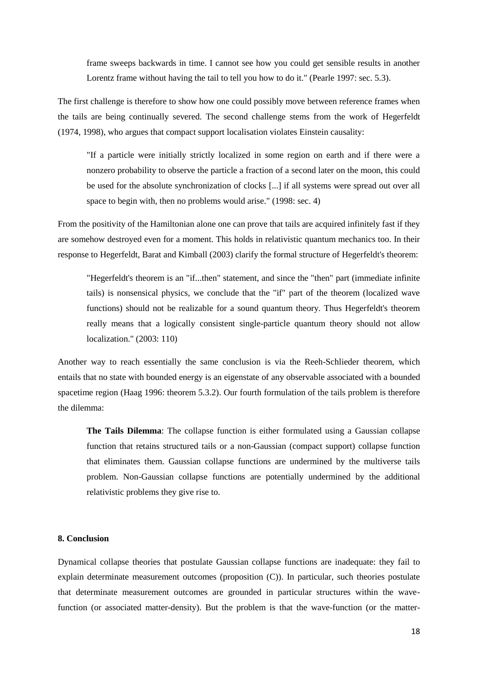frame sweeps backwards in time. I cannot see how you could get sensible results in another Lorentz frame without having the tail to tell you how to do it." (Pearle 1997: sec. 5.3).

The first challenge is therefore to show how one could possibly move between reference frames when the tails are being continually severed. The second challenge stems from the work of Hegerfeldt (1974, 1998), who argues that compact support localisation violates Einstein causality:

"If a particle were initially strictly localized in some region on earth and if there were a nonzero probability to observe the particle a fraction of a second later on the moon, this could be used for the absolute synchronization of clocks [...] if all systems were spread out over all space to begin with, then no problems would arise." (1998: sec. 4)

From the positivity of the Hamiltonian alone one can prove that tails are acquired infinitely fast if they are somehow destroyed even for a moment. This holds in relativistic quantum mechanics too. In their response to Hegerfeldt, Barat and Kimball (2003) clarify the formal structure of Hegerfeldt's theorem:

"Hegerfeldt's theorem is an "if...then" statement, and since the "then" part (immediate infinite tails) is nonsensical physics, we conclude that the "if" part of the theorem (localized wave functions) should not be realizable for a sound quantum theory. Thus Hegerfeldt's theorem really means that a logically consistent single-particle quantum theory should not allow localization." (2003: 110)

Another way to reach essentially the same conclusion is via the Reeh-Schlieder theorem, which entails that no state with bounded energy is an eigenstate of any observable associated with a bounded spacetime region (Haag 1996: theorem 5.3.2). Our fourth formulation of the tails problem is therefore the dilemma:

**The Tails Dilemma**: The collapse function is either formulated using a Gaussian collapse function that retains structured tails or a non-Gaussian (compact support) collapse function that eliminates them. Gaussian collapse functions are undermined by the multiverse tails problem. Non-Gaussian collapse functions are potentially undermined by the additional relativistic problems they give rise to.

### **8. Conclusion**

Dynamical collapse theories that postulate Gaussian collapse functions are inadequate: they fail to explain determinate measurement outcomes (proposition (C)). In particular, such theories postulate that determinate measurement outcomes are grounded in particular structures within the wavefunction (or associated matter-density). But the problem is that the wave-function (or the matter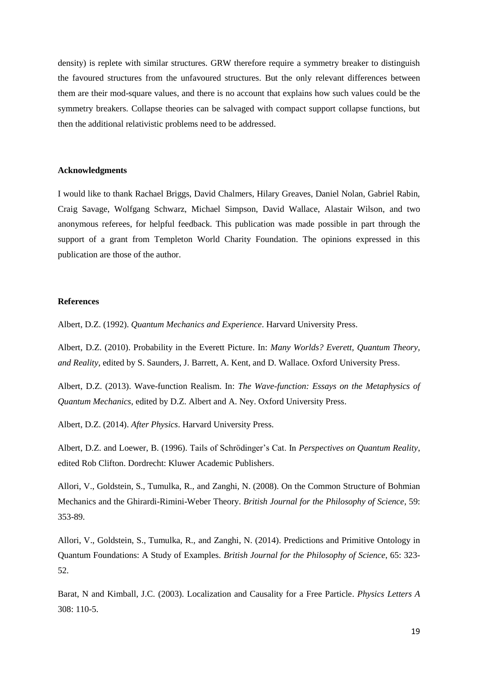density) is replete with similar structures. GRW therefore require a symmetry breaker to distinguish the favoured structures from the unfavoured structures. But the only relevant differences between them are their mod-square values, and there is no account that explains how such values could be the symmetry breakers. Collapse theories can be salvaged with compact support collapse functions, but then the additional relativistic problems need to be addressed.

# **Acknowledgments**

I would like to thank Rachael Briggs, David Chalmers, Hilary Greaves, Daniel Nolan, Gabriel Rabin, Craig Savage, Wolfgang Schwarz, Michael Simpson, David Wallace, Alastair Wilson, and two anonymous referees, for helpful feedback. This publication was made possible in part through the support of a grant from Templeton World Charity Foundation. The opinions expressed in this publication are those of the author.

# **References**

Albert, D.Z. (1992). *Quantum Mechanics and Experience*. Harvard University Press.

Albert, D.Z. (2010). Probability in the Everett Picture. In: *Many Worlds? Everett, Quantum Theory, and Reality*, edited by S. Saunders, J. Barrett, A. Kent, and D. Wallace. Oxford University Press.

Albert, D.Z. (2013). Wave-function Realism. In: *The Wave-function: Essays on the Metaphysics of Quantum Mechanics*, edited by D.Z. Albert and A. Ney. Oxford University Press.

Albert, D.Z. (2014). *After Physics*. Harvard University Press.

Albert, D.Z. and Loewer, B. (1996). Tails of Schrödinger's Cat. In *Perspectives on Quantum Reality*, edited Rob Clifton. Dordrecht: Kluwer Academic Publishers.

Allori, V., Goldstein, S., Tumulka, R., and Zanghi, N. (2008). On the Common Structure of Bohmian Mechanics and the Ghirardi-Rimini-Weber Theory. *British Journal for the Philosophy of Science*, 59: 353-89.

Allori, V., Goldstein, S., Tumulka, R., and Zanghi, N. (2014). Predictions and Primitive Ontology in Quantum Foundations: A Study of Examples. *British Journal for the Philosophy of Science*, 65: 323- 52.

Barat, N and Kimball, J.C. (2003). Localization and Causality for a Free Particle. *Physics Letters A* 308: 110-5.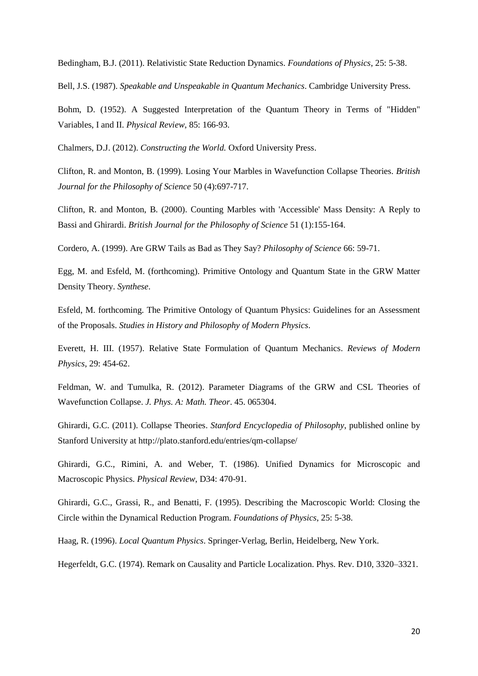Bedingham, B.J. (2011). Relativistic State Reduction Dynamics. *Foundations of Physics*, 25: 5-38.

Bell, J.S. (1987). *Speakable and Unspeakable in Quantum Mechanics*. Cambridge University Press.

Bohm, D. (1952). A Suggested Interpretation of the Quantum Theory in Terms of "Hidden" Variables, I and II. *Physical Review*, 85: 166-93.

Chalmers, D.J. (2012). *Constructing the World.* Oxford University Press.

Clifton, R. and Monton, B. (1999). Losing Your Marbles in Wavefunction Collapse Theories. *British Journal for the Philosophy of Science* 50 (4):697-717.

Clifton, R. and Monton, B. (2000). Counting Marbles with 'Accessible' Mass Density: A Reply to Bassi and Ghirardi. *British Journal for the Philosophy of Science* 51 (1):155-164.

Cordero, A. (1999). Are GRW Tails as Bad as They Say? *Philosophy of Science* 66: 59-71.

Egg, M. and Esfeld, M. (forthcoming). Primitive Ontology and Quantum State in the GRW Matter Density Theory. *Synthese*.

Esfeld, M. forthcoming. The Primitive Ontology of Quantum Physics: Guidelines for an Assessment of the Proposals. *Studies in History and Philosophy of Modern Physics*.

Everett, H. III. (1957). Relative State Formulation of Quantum Mechanics. *Reviews of Modern Physics*, 29: 454-62.

Feldman, W. and Tumulka, R. (2012). Parameter Diagrams of the GRW and CSL Theories of Wavefunction Collapse. *J. Phys. A: Math. Theor*. 45. 065304.

Ghirardi, G.C. (2011). Collapse Theories. *Stanford Encyclopedia of Philosophy*, published online by Stanford University at http://plato.stanford.edu/entries/qm-collapse/

Ghirardi, G.C., Rimini, A. and Weber, T. (1986). Unified Dynamics for Microscopic and Macroscopic Physics. *Physical Review*, D34: 470-91.

Ghirardi, G.C., Grassi, R., and Benatti, F. (1995). Describing the Macroscopic World: Closing the Circle within the Dynamical Reduction Program. *Foundations of Physics*, 25: 5-38.

Haag, R. (1996). *Local Quantum Physics*. Springer-Verlag, Berlin, Heidelberg, New York.

Hegerfeldt, G.C. (1974). Remark on Causality and Particle Localization. Phys. Rev. D10, 3320–3321.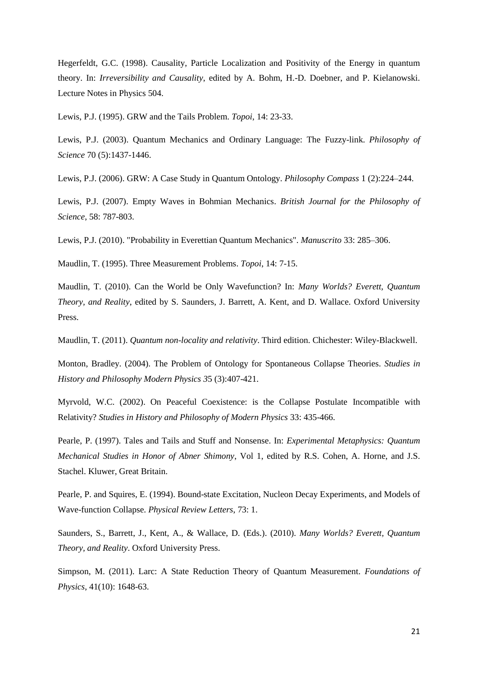Hegerfeldt, G.C. (1998). Causality, Particle Localization and Positivity of the Energy in quantum theory. In: *Irreversibility and Causality*, edited by A. Bohm, H.-D. Doebner, and P. Kielanowski. Lecture Notes in Physics 504.

Lewis, P.J. (1995). GRW and the Tails Problem. *Topoi*, 14: 23-33.

Lewis, P.J. (2003). Quantum Mechanics and Ordinary Language: The Fuzzy-link. *Philosophy of Science* 70 (5):1437-1446.

Lewis, P.J. (2006). GRW: A Case Study in Quantum Ontology. *Philosophy Compass* 1 (2):224–244.

Lewis, P.J. (2007). Empty Waves in Bohmian Mechanics. *British Journal for the Philosophy of Science*, 58: 787-803.

Lewis, P.J. (2010). "Probability in Everettian Quantum Mechanics". *Manuscrito* 33: 285–306.

Maudlin, T. (1995). Three Measurement Problems. *Topoi*, 14: 7-15.

Maudlin, T. (2010). Can the World be Only Wavefunction? In: *Many Worlds? Everett, Quantum Theory, and Reality*, edited by S. Saunders, J. Barrett, A. Kent, and D. Wallace. Oxford University Press.

Maudlin, T. (2011). *Quantum non-locality and relativity*. Third edition. Chichester: Wiley-Blackwell.

Monton, Bradley. (2004). The Problem of Ontology for Spontaneous Collapse Theories. *Studies in History and Philosophy Modern Physics 3*5 (3):407-421.

Myrvold, W.C. (2002). On Peaceful Coexistence: is the Collapse Postulate Incompatible with Relativity? *Studies in History and Philosophy of Modern Physics* 33: 435-466.

Pearle, P. (1997). Tales and Tails and Stuff and Nonsense. In: *Experimental Metaphysics: Quantum Mechanical Studies in Honor of Abner Shimony*, Vol 1, edited by R.S. Cohen, A. Horne, and J.S. Stachel. Kluwer, Great Britain.

Pearle, P. and Squires, E. (1994). Bound-state Excitation, Nucleon Decay Experiments, and Models of Wave-function Collapse. *Physical Review Letters*, 73: 1.

Saunders, S., Barrett, J., Kent, A., & Wallace, D. (Eds.). (2010). *Many Worlds? Everett, Quantum Theory, and Reality*. Oxford University Press.

Simpson, M. (2011). Larc: A State Reduction Theory of Quantum Measurement. *Foundations of Physics*, 41(10): 1648-63.